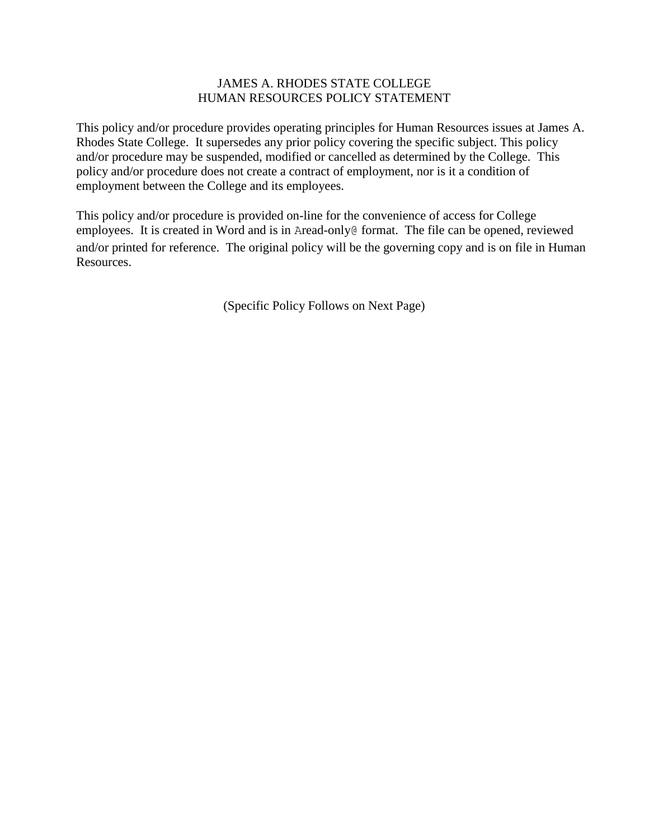# JAMES A. RHODES STATE COLLEGE HUMAN RESOURCES POLICY STATEMENT

This policy and/or procedure provides operating principles for Human Resources issues at James A. Rhodes State College. It supersedes any prior policy covering the specific subject. This policy and/or procedure may be suspended, modified or cancelled as determined by the College. This policy and/or procedure does not create a contract of employment, nor is it a condition of employment between the College and its employees.

This policy and/or procedure is provided on-line for the convenience of access for College employees. It is created in Word and is in Aread-only@ format. The file can be opened, reviewed and/or printed for reference. The original policy will be the governing copy and is on file in Human Resources.

(Specific Policy Follows on Next Page)